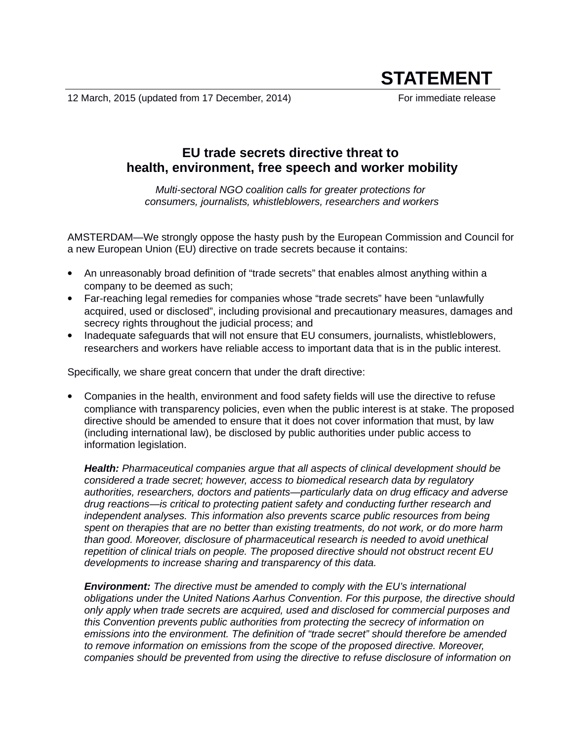12 March, 2015 (updated from 17 December, 2014) For immediate release

# **STATEMENT**

# **EU trade secrets directive threat to health, environment, free speech and worker mobility**

*Multi-sectoral NGO coalition calls for greater protections for consumers, journalists, whistleblowers, researchers and workers*

AMSTERDAM—We strongly oppose the hasty push by the European Commission and Council for a new European Union (EU) directive on trade secrets because it contains:

- An unreasonably broad definition of "trade secrets" that enables almost anything within a company to be deemed as such;
- Far-reaching legal remedies for companies whose "trade secrets" have been "unlawfully acquired, used or disclosed", including provisional and precautionary measures, damages and secrecy rights throughout the judicial process; and
- Inadequate safeguards that will not ensure that EU consumers, journalists, whistleblowers, researchers and workers have reliable access to important data that is in the public interest.

Specifically, we share great concern that under the draft directive:

 Companies in the health, environment and food safety fields will use the directive to refuse compliance with transparency policies, even when the public interest is at stake. The proposed directive should be amended to ensure that it does not cover information that must, by law (including international law), be disclosed by public authorities under public access to information legislation.

*Health: Pharmaceutical companies argue that all aspects of clinical development should be considered a trade secret; however, access to biomedical research data by regulatory authorities, researchers, doctors and patients—particularly data on drug efficacy and adverse drug reactions—is critical to protecting patient safety and conducting further research and independent analyses. This information also prevents scarce public resources from being spent on therapies that are no better than existing treatments, do not work, or do more harm than good. Moreover, disclosure of pharmaceutical research is needed to avoid unethical repetition of clinical trials on people. The proposed directive should not obstruct recent EU developments to increase sharing and transparency of this data.*

*Environment: The directive must be amended to comply with the EU's international obligations under the United Nations Aarhus Convention. For this purpose, the directive should only apply when trade secrets are acquired, used and disclosed for commercial purposes and this Convention prevents public authorities from protecting the secrecy of information on emissions into the environment. The definition of "trade secret" should therefore be amended to remove information on emissions from the scope of the proposed directive. Moreover, companies should be prevented from using the directive to refuse disclosure of information on*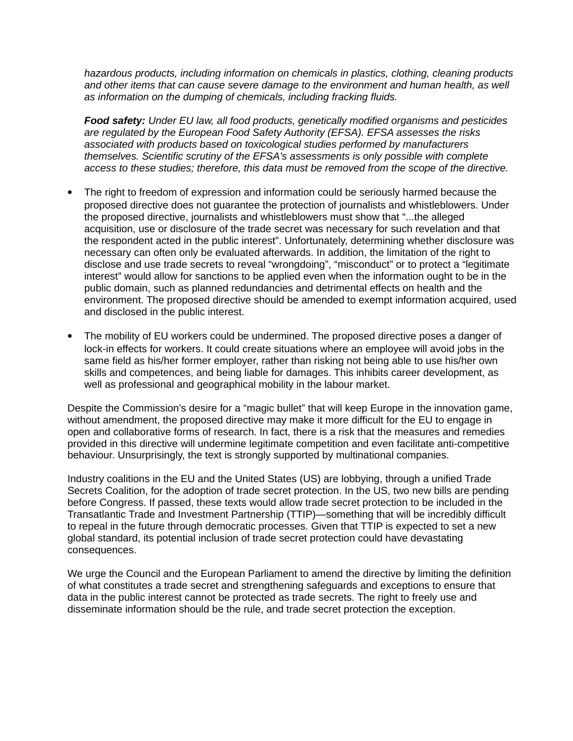*hazardous products, including information on chemicals in plastics, clothing, cleaning products*  and other items that can cause severe damage to the environment and human health, as well *as information on the dumping of chemicals, including fracking fluids.* 

*Food safety: Under EU law, all food products, genetically modified organisms and pesticides are regulated by the European Food Safety Authority (EFSA). EFSA assesses the risks associated with products based on toxicological studies performed by manufacturers themselves. Scientific scrutiny of the EFSA's assessments is only possible with complete access to these studies; therefore, this data must be removed from the scope of the directive.*

- The right to freedom of expression and information could be seriously harmed because the proposed directive does not guarantee the protection of journalists and whistleblowers. Under the proposed directive, journalists and whistleblowers must show that "...the alleged acquisition, use or disclosure of the trade secret was necessary for such revelation and that the respondent acted in the public interest". Unfortunately, determining whether disclosure was necessary can often only be evaluated afterwards. In addition, the limitation of the right to disclose and use trade secrets to reveal "wrongdoing", "misconduct" or to protect a "legitimate interest" would allow for sanctions to be applied even when the information ought to be in the public domain, such as planned redundancies and detrimental effects on health and the environment. The proposed directive should be amended to exempt information acquired, used and disclosed in the public interest.
- The mobility of EU workers could be undermined. The proposed directive poses a danger of lock-in effects for workers. It could create situations where an employee will avoid jobs in the same field as his/her former employer, rather than risking not being able to use his/her own skills and competences, and being liable for damages. This inhibits career development, as well as professional and geographical mobility in the labour market.

Despite the Commission's desire for a "magic bullet" that will keep Europe in the innovation game, without amendment, the proposed directive may make it more difficult for the EU to engage in open and collaborative forms of research. In fact, there is a risk that the measures and remedies provided in this directive will undermine legitimate competition and even facilitate anti-competitive behaviour. Unsurprisingly, the text is strongly supported by multinational companies.

Industry coalitions in the EU and the United States (US) are lobbying, through a unified Trade Secrets Coalition, for the adoption of trade secret protection. In the US, two new bills are pending before Congress. If passed, these texts would allow trade secret protection to be included in the Transatlantic Trade and Investment Partnership (TTIP)—something that will be incredibly difficult to repeal in the future through democratic processes. Given that TTIP is expected to set a new global standard, its potential inclusion of trade secret protection could have devastating consequences.

We urge the Council and the European Parliament to amend the directive by limiting the definition of what constitutes a trade secret and strengthening safeguards and exceptions to ensure that data in the public interest cannot be protected as trade secrets. The right to freely use and disseminate information should be the rule, and trade secret protection the exception.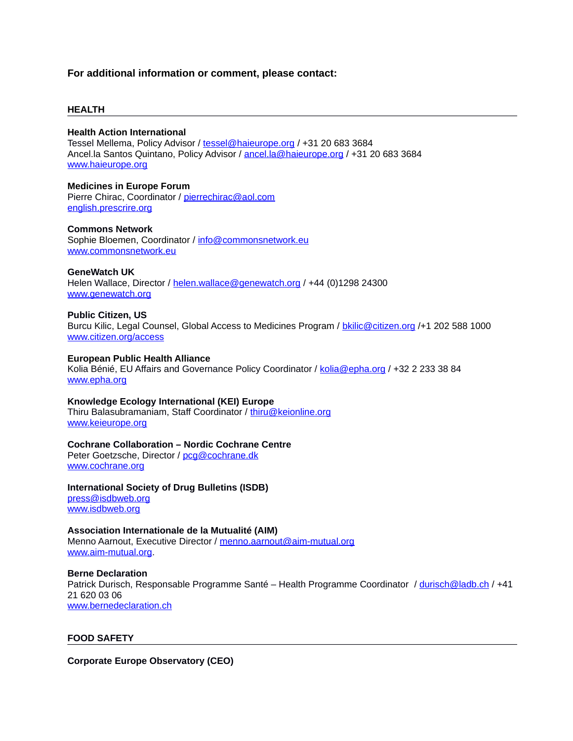# **For additional information or comment, please contact:**

#### **HEALTH**

#### **Health Action International**

Tessel Mellema, Policy Advisor / [tessel@haieurope.org](mailto:tessel@haieurope.org) / +31 20 683 3684 Ancel.la Santos Quintano, Policy Advisor / [ancel.la@haieurope.org](mailto:ancel.la@haieurope.org) / +31 20 683 3684 [www.haieurope.org](http://www.haieurope.org/)

**Medicines in Europe Forum**  Pierre Chirac, Coordinator / [pierrechirac@aol.com](mailto:pierrechirac@aol.com) [english.prescrire.org](http://www.english.prescrire.org/)

**Commons Network**

Sophie Bloemen, Coordinator / [info@commonsnetwork.eu](mailto:info@commonsnetwork.eu) [www.commonsnetwork.eu](http://www.commonsnetwork.eu/)

#### **GeneWatch UK**

Helen Wallace, Director / [helen.wallace@genewatch.org](mailto:helen.wallace@genewatch.org) / +44 (0)1298 24300 [www.genewatch.org](http://www.genewatch.org/)

#### **Public Citizen, US**

Burcu Kilic, Legal Counsel, Global Access to Medicines Program / [bkilic@citizen.org](mailto:bkilic@citizen.org) /+1 202 588 1000 [www.citizen.org/access](http://www.citizen.org/access)

#### **European Public Health Alliance**

Kolia Bénié, EU Affairs and Governance Policy Coordinator / [kolia@epha.org](mailto:kolia@epha.org) / +32 2 233 38 84 [www.epha.org](http://www.epha.org/)

# **Knowledge Ecology International (KEI) Europe**

Thiru Balasubramaniam, Staff Coordinator / [thiru@keionline.org](mailto:thiru@keionline.org) [www.keieurope.org](http://www.keieurope.org/)

# **Cochrane Collaboration – Nordic Cochrane Centre**

Peter Goetzsche, Director / [pcg@cochrane.dk](mailto:pcg@cochrane.dk) [www.cochrane.org](http://www.cochrane.org/)

**International Society of Drug Bulletins (ISDB)** [press@isdbweb.org](mailto:press@isdbweb.org) [www.isdbweb.org](http://www.isdbweb.org/)

**Association Internationale de la Mutualité (AIM)** Menno Aarnout, Executive Director / [menno.aarnout@aim-mutual.org](mailto:menno.aarnout@aim-mutual.org) [www.aim-mutual.org.](http://www.aim-mutual.org/)

**Berne Declaration**  Patrick Durisch, Responsable Programme Santé – Health Programme Coordinator / [durisch@ladb.ch](mailto:durisch@ladb.ch) / +41 21 620 03 06 [www.bernedeclaration.ch](http://www.bernedeclaration.ch/)

# **FOOD SAFETY**

**Corporate Europe Observatory (CEO)**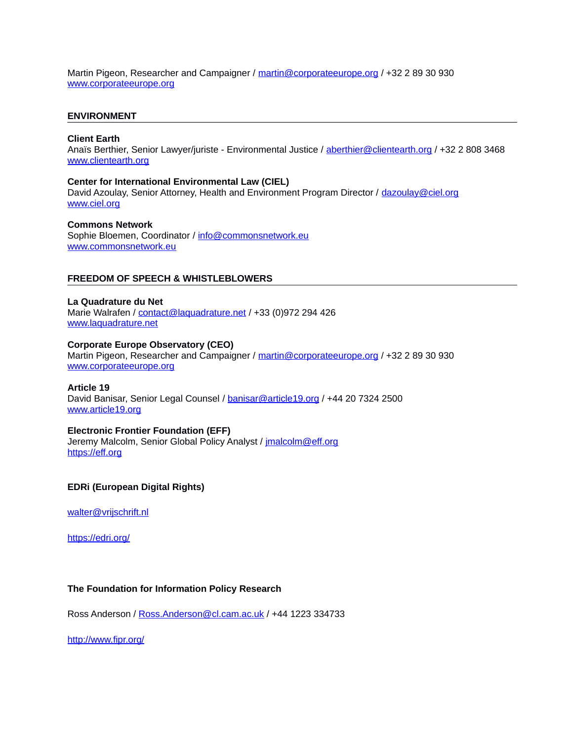Martin Pigeon, Researcher and Campaigner / [martin@corporateeurope.org](mailto:martin@corporateeurope.org) / +32 2 89 30 930 [www.corporateeurope.org](http://www.corporateeurope.org/)

### **ENVIRONMENT**

#### **Client Earth**

Anaïs Berthier, Senior Lawyer/juriste - Environmental Justice / [aberthier@clientearth.org](mailto:aberthier@clientearth.org) / +32 2 808 3468 [www.clientearth.org](http://www.clientearth.org/)

#### **Center for International Environmental Law (CIEL)**

David Azoulay, Senior Attorney, Health and Environment Program Director / [dazoulay@ciel.org](mailto:dazoulay@ciel.org) [www.ciel.org](http://www.ciel.org/)

#### **Commons Network**

Sophie Bloemen, Coordinator / [info@commonsnetwork.eu](mailto:info@commonsnetwork.eu) [www.commonsnetwork.eu](http://www.commonsnetwork.eu/)

#### **FREEDOM OF SPEECH & WHISTLEBLOWERS**

#### **La Quadrature du Net**

Marie Walrafen / [contact@laquadrature.net](mailto:contact@laquadrature.net) / +33 (0)972 294 426 [www.laquadrature.net](http://www.laquadrature.net/)

#### **Corporate Europe Observatory (CEO)**

Martin Pigeon, Researcher and Campaigner / [martin@corporateeurope.org](mailto:martin@corporateeurope.org) / +32 2 89 30 930 [www.corporateeurope.org](http://www.corporateeurope.org/)

#### **Article 19**

David Banisar, Senior Legal Counsel / [banisar@article19.org](mailto:banisar@article19.org) / +44 20 7324 2500 [www.article19.org](http://www.article19.org/)

# **Electronic Frontier Foundation (EFF)**

Jeremy Malcolm, Senior Global Policy Analyst / [jmalcolm@eff.org](mailto:jmalcolm@eff.org) [https://eff.org](https://eff.org/)

# **EDRi (European Digital Rights)**

walter@vrijschrift.nl

<https://edri.org/>

# **The Foundation for Information Policy Research**

Ross Anderson / [Ross.Anderson@cl.cam.ac.uk](mailto:Ross.Anderson@cl.cam.ac.uk) / +44 1223 334733

<http://www.fipr.org/>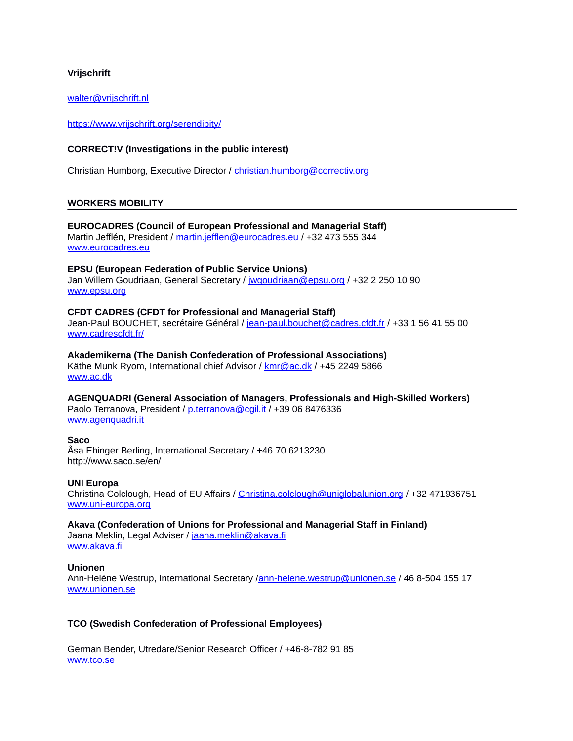# **Vrijschrift**

[walter@vrijschrift.nl](mailto:walter@vrijschrift.nl)

<https://www.vrijschrift.org/serendipity/>

# **CORRECT!V (Investigations in the public interest)**

Christian Humborg, Executive Director / [christian.humborg@correctiv.org](mailto:christian.humborg@correctiv.org)

#### **WORKERS MOBILITY**

# **EUROCADRES (Council of European Professional and Managerial Staff)** Martin Jefflén, President / [martin.jefflen@eurocadres.eu](mailto:martin.jefflen@eurocadres.eu) / +32 473 555 344

[www.eurocadres.eu](http://www.eurocadres.eu/)

#### **EPSU (European Federation of Public Service Unions)**

Jan Willem Goudriaan, General Secretary / [jwgoudriaan@epsu.org](mailto:jwgoudriaan@epsu.org) / +32 2 250 10 90 [www.epsu.org](http://www.epsu.org/)

#### **CFDT CADRES (CFDT for Professional and Managerial Staff)**

Jean-Paul BOUCHET, secrétaire Général / [jean-paul.bouchet@cadres.cfdt.fr](mailto:jean-paul.bouchet@cadres.cfdt.fr) / +33 1 56 41 55 00 [www.cadrescfdt.fr/](http://www.cadrescfdt.fr/)

**Akademikerna (The Danish Confederation of Professional Associations)** Käthe Munk Ryom, International chief Advisor / [kmr@ac.dk](mailto:kmr@ac.dk) / +45 2249 5866 [www.ac.dk](http://www.ac.dk/)

**AGENQUADRI (General Association of Managers, Professionals and High-Skilled Workers)** Paolo Terranova, President / [p.terranova@cgil.it](mailto:p.terranova@cgil.it) / +39 06 8476336 [www.agenquadri.it](http://www.agenquadri.it/)

# **Saco**

Åsa Ehinger Berling, International Secretary / +46 70 6213230 http://www.saco.se/en/

#### **UNI Europa**

Christina Colclough, Head of EU Affairs / [Christina.colclough@uniglobalunion.org](mailto:Christina.colclough@uniglobalunion.org) / +32 471936751 [www.uni-europa.org](http://www.uni-europa.org/)

# **Akava (Confederation of Unions for Professional and Managerial Staff in Finland)**

Jaana Meklin, Legal Adviser / [jaana.meklin@akava.fi](mailto:jaana.meklin@akava.fi) [www.akava.fi](http://www.akava.fi/)

#### **Unionen**

Ann-Heléne Westrup, International Secretary [/ann-helene.westrup@unionen.se](mailto:ann-helene.westrup@unionen.se) / 46 8-504 155 17 [www.unionen.se](http://insidan/FileServer/St%C3%B6d_Riktlinjer/Lathundar/Outlook/www.unionen.se)

# **TCO (Swedish Confederation of Professional Employees)**

German Bender, Utredare/Senior Research Officer / +46-8-782 91 85 [www.tco.se](http://www.tco.se/)